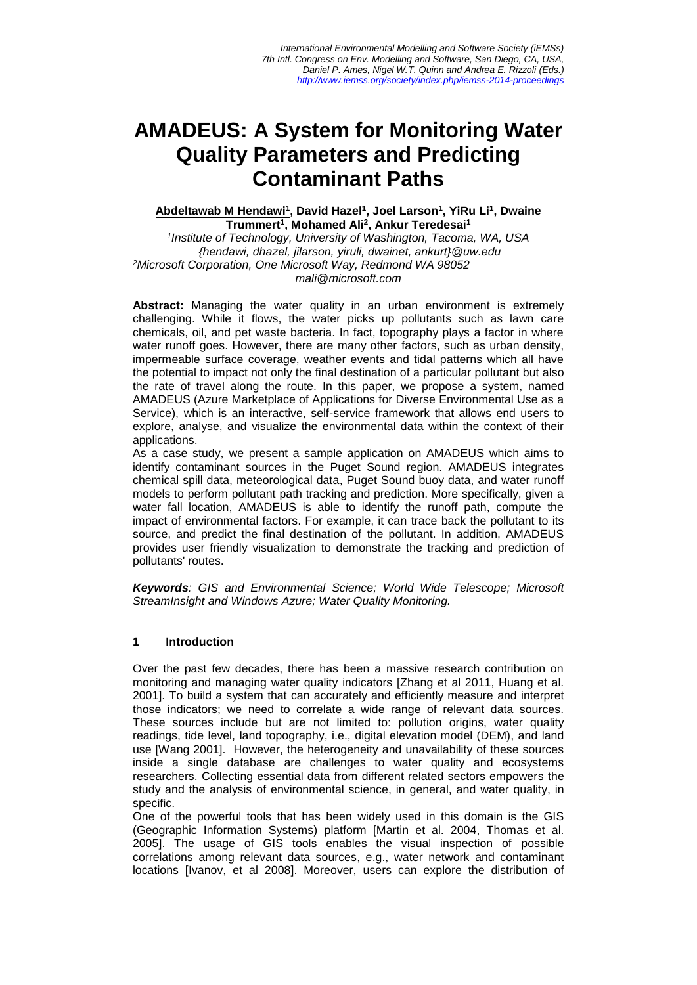# **AMADEUS: A System for Monitoring Water Quality Parameters and Predicting Contaminant Paths**

## **Abdeltawab M Hendawi<sup>1</sup> , David Hazel<sup>1</sup> , Joel Larson<sup>1</sup> , YiRu Li<sup>1</sup> , Dwaine Trummert<sup>1</sup> , Mohamed Ali<sup>2</sup> , Ankur Teredesai<sup>1</sup>**

*1 Institute of Technology, University of Washington, Tacoma, WA, USA {hendawi, dhazel, jilarson, yiruli, dwainet, ankurt}@uw.edu <sup>2</sup>Microsoft Corporation, One Microsoft Way, Redmond WA 98052 mali@microsoft.com* 

**Abstract:** Managing the water quality in an urban environment is extremely challenging. While it flows, the water picks up pollutants such as lawn care chemicals, oil, and pet waste bacteria. In fact, topography plays a factor in where water runoff goes. However, there are many other factors, such as urban density, impermeable surface coverage, weather events and tidal patterns which all have the potential to impact not only the final destination of a particular pollutant but also the rate of travel along the route. In this paper, we propose a system, named AMADEUS (Azure Marketplace of Applications for Diverse Environmental Use as a Service), which is an interactive, self-service framework that allows end users to explore, analyse, and visualize the environmental data within the context of their applications.

As a case study, we present a sample application on AMADEUS which aims to identify contaminant sources in the Puget Sound region. AMADEUS integrates chemical spill data, meteorological data, Puget Sound buoy data, and water runoff models to perform pollutant path tracking and prediction. More specifically, given a water fall location, AMADEUS is able to identify the runoff path, compute the impact of environmental factors. For example, it can trace back the pollutant to its source, and predict the final destination of the pollutant. In addition, AMADEUS provides user friendly visualization to demonstrate the tracking and prediction of pollutants' routes.

*Keywords: GIS and Environmental Science; World Wide Telescope; Microsoft StreamInsight and Windows Azure; Water Quality Monitoring.* 

#### **1 Introduction**

Over the past few decades, there has been a massive research contribution on monitoring and managing water quality indicators [Zhang et al 2011, Huang et al. 2001]. To build a system that can accurately and efficiently measure and interpret those indicators; we need to correlate a wide range of relevant data sources. These sources include but are not limited to: pollution origins, water quality readings, tide level, land topography, i.e., digital elevation model (DEM), and land use [Wang 2001]. However, the heterogeneity and unavailability of these sources inside a single database are challenges to water quality and ecosystems researchers. Collecting essential data from different related sectors empowers the study and the analysis of environmental science, in general, and water quality, in specific.

One of the powerful tools that has been widely used in this domain is the GIS (Geographic Information Systems) platform [Martin et al. 2004, Thomas et al. 2005]. The usage of GIS tools enables the visual inspection of possible correlations among relevant data sources, e.g., water network and contaminant locations [Ivanov, et al 2008]. Moreover, users can explore the distribution of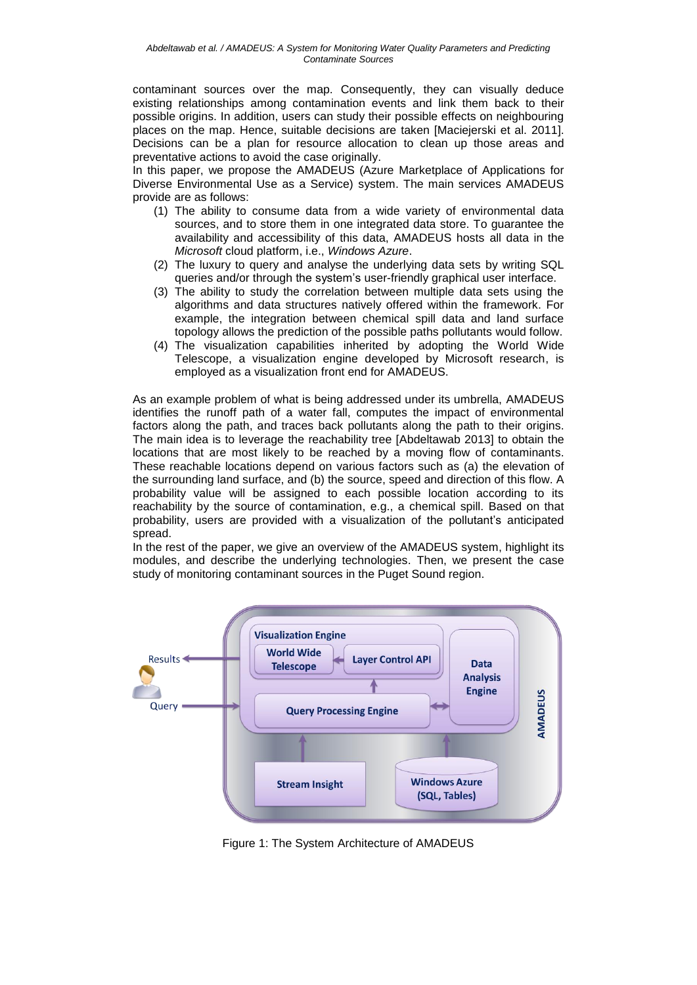contaminant sources over the map. Consequently, they can visually deduce existing relationships among contamination events and link them back to their possible origins. In addition, users can study their possible effects on neighbouring places on the map. Hence, suitable decisions are taken [Maciejerski et al. 2011]. Decisions can be a plan for resource allocation to clean up those areas and preventative actions to avoid the case originally.

In this paper, we propose the AMADEUS (Azure Marketplace of Applications for Diverse Environmental Use as a Service) system. The main services AMADEUS provide are as follows:

- (1) The ability to consume data from a wide variety of environmental data sources, and to store them in one integrated data store. To guarantee the availability and accessibility of this data, AMADEUS hosts all data in the *Microsoft* cloud platform, i.e., *Windows Azure*.
- (2) The luxury to query and analyse the underlying data sets by writing SQL queries and/or through the system's user-friendly graphical user interface.
- (3) The ability to study the correlation between multiple data sets using the algorithms and data structures natively offered within the framework. For example, the integration between chemical spill data and land surface topology allows the prediction of the possible paths pollutants would follow.
- (4) The visualization capabilities inherited by adopting the World Wide Telescope, a visualization engine developed by Microsoft research, is employed as a visualization front end for AMADEUS.

As an example problem of what is being addressed under its umbrella, AMADEUS identifies the runoff path of a water fall, computes the impact of environmental factors along the path, and traces back pollutants along the path to their origins. The main idea is to leverage the reachability tree [Abdeltawab 2013] to obtain the locations that are most likely to be reached by a moving flow of contaminants. These reachable locations depend on various factors such as (a) the elevation of the surrounding land surface, and (b) the source, speed and direction of this flow. A probability value will be assigned to each possible location according to its reachability by the source of contamination, e.g., a chemical spill. Based on that probability, users are provided with a visualization of the pollutant's anticipated spread.

In the rest of the paper, we give an overview of the AMADEUS system, highlight its modules, and describe the underlying technologies. Then, we present the case study of monitoring contaminant sources in the Puget Sound region.



Figure 1: The System Architecture of AMADEUS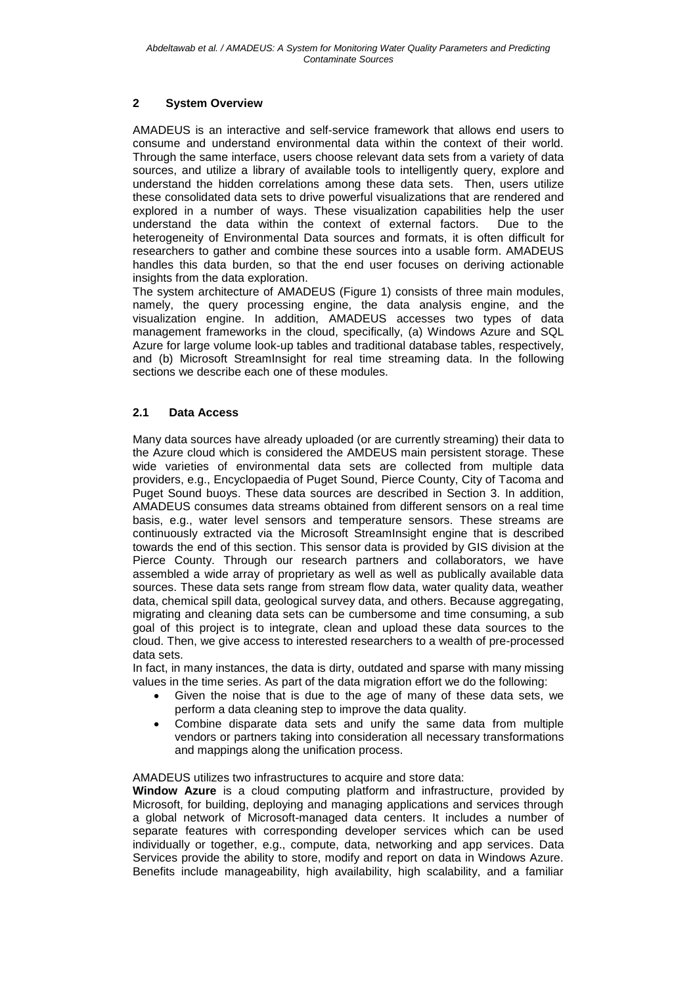## **2 System Overview**

AMADEUS is an interactive and self-service framework that allows end users to consume and understand environmental data within the context of their world. Through the same interface, users choose relevant data sets from a variety of data sources, and utilize a library of available tools to intelligently query, explore and understand the hidden correlations among these data sets. Then, users utilize these consolidated data sets to drive powerful visualizations that are rendered and explored in a number of ways. These visualization capabilities help the user<br>understand the data within the context of external factors. Due to the understand the data within the context of external factors. heterogeneity of Environmental Data sources and formats, it is often difficult for researchers to gather and combine these sources into a usable form. AMADEUS handles this data burden, so that the end user focuses on deriving actionable insights from the data exploration.

The system architecture of AMADEUS (Figure 1) consists of three main modules, namely, the query processing engine, the data analysis engine, and the visualization engine. In addition, AMADEUS accesses two types of data management frameworks in the cloud, specifically, (a) Windows Azure and SQL Azure for large volume look-up tables and traditional database tables, respectively, and (b) Microsoft StreamInsight for real time streaming data. In the following sections we describe each one of these modules.

#### **2.1 Data Access**

Many data sources have already uploaded (or are currently streaming) their data to the Azure cloud which is considered the AMDEUS main persistent storage. These wide varieties of environmental data sets are collected from multiple data providers, e.g., Encyclopaedia of Puget Sound, Pierce County, City of Tacoma and Puget Sound buoys. These data sources are described in Section 3. In addition, AMADEUS consumes data streams obtained from different sensors on a real time basis, e.g., water level sensors and temperature sensors. These streams are continuously extracted via the Microsoft StreamInsight engine that is described towards the end of this section. This sensor data is provided by GIS division at the Pierce County. Through our research partners and collaborators, we have assembled a wide array of proprietary as well as well as publically available data sources. These data sets range from stream flow data, water quality data, weather data, chemical spill data, geological survey data, and others. Because aggregating, migrating and cleaning data sets can be cumbersome and time consuming, a sub goal of this project is to integrate, clean and upload these data sources to the cloud. Then, we give access to interested researchers to a wealth of pre-processed data sets.

In fact, in many instances, the data is dirty, outdated and sparse with many missing values in the time series. As part of the data migration effort we do the following:

- Given the noise that is due to the age of many of these data sets, we perform a data cleaning step to improve the data quality.
- Combine disparate data sets and unify the same data from multiple vendors or partners taking into consideration all necessary transformations and mappings along the unification process.

AMADEUS utilizes two infrastructures to acquire and store data:

**Window Azure** is a cloud computing platform and infrastructure, provided by Microsoft, for building, deploying and managing applications and services through a global network of Microsoft-managed data centers. It includes a number of separate features with corresponding developer services which can be used individually or together, e.g., compute, data, networking and app services. Data Services provide the ability to store, modify and report on data in Windows Azure. Benefits include manageability, high availability, high scalability, and a familiar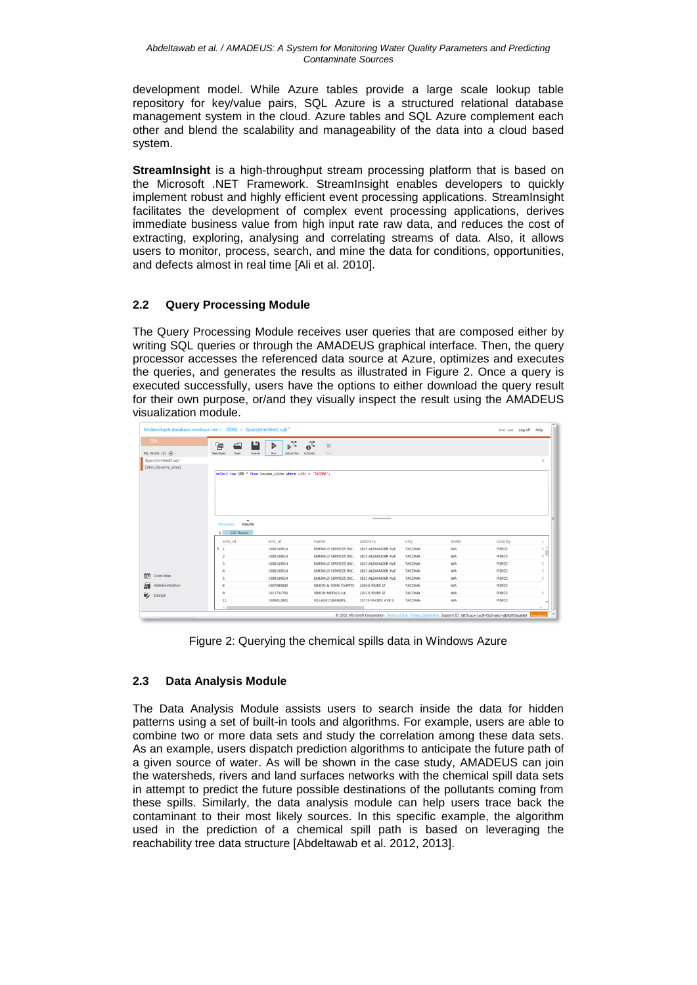development model. While Azure tables provide a large scale lookup table repository for key/value pairs, SQL Azure is a structured relational database management system in the cloud. Azure tables and SQL Azure complement each other and blend the scalability and manageability of the data into a cloud based system.

**StreamInsight** is a high-throughput stream processing platform that is based on the Microsoft .NET Framework. StreamInsight enables developers to quickly implement robust and highly efficient event processing applications. StreamInsight facilitates the development of complex event processing applications, derives immediate business value from high input rate raw data, and reduces the cost of extracting, exploring, analysing and correlating streams of data. Also, it allows users to monitor, process, search, and mine the data for conditions, opportunities, and defects almost in real time [Ali et al. 2010].

# **2.2 Query Processing Module**

The Query Processing Module receives user queries that are composed either by writing SQL queries or through the AMADEUS graphical interface. Then, the query processor accesses the referenced data source at Azure, optimizes and executes the queries, and generates the results as illustrated in Figure 2. Once a query is executed successfully, users have the options to either download the query result for their own purpose, or/and they visually inspect the result using the AMADEUS visualization module.

| hhybmekqe6.database.windows.net > [EDR] > Query(Untitled2.sql)* |                                     |                                                           |                                         |                     |               |       |        |               |
|-----------------------------------------------------------------|-------------------------------------|-----------------------------------------------------------|-----------------------------------------|---------------------|---------------|-------|--------|---------------|
| <b>EDR</b>                                                      | 海                                   | $\mathbf{b}^{\mathsf{T}}$<br>ப<br>⋗                       | $\mathbf{e}^{\mathsf{T}}$<br><b>III</b> |                     |               |       |        |               |
| My Work $(2)$ $\Theta$                                          | New Query<br>Open                   | Save As<br>Run<br><b>Actual Plan</b>                      | Estimate<br>Stop                        |                     |               |       |        |               |
| Query(Untitled2.sql)                                            |                                     |                                                           |                                         |                     |               |       |        | ×             |
| [dbo].[tacoma_sites]                                            |                                     |                                                           |                                         |                     |               |       |        |               |
|                                                                 |                                     | select top 100 * from tacoma_sites where city = 'TACOMA'; |                                         |                     |               |       |        |               |
|                                                                 |                                     |                                                           |                                         |                     |               |       |        |               |
|                                                                 |                                     |                                                           |                                         |                     |               |       |        |               |
|                                                                 |                                     |                                                           |                                         |                     |               |       |        |               |
|                                                                 |                                     |                                                           |                                         |                     |               |       |        |               |
|                                                                 |                                     |                                                           |                                         |                     |               |       |        |               |
|                                                                 |                                     |                                                           |                                         |                     |               |       |        |               |
|                                                                 |                                     |                                                           |                                         |                     |               |       |        |               |
|                                                                 | $\checkmark$<br>Results<br>Messages |                                                           |                                         |                     |               |       |        |               |
|                                                                 | 1                                   |                                                           |                                         |                     |               |       |        |               |
|                                                                 | $100$ Raw(s)<br>site_id             | env_id                                                    | name                                    | address             | city          | state | county | ž.            |
|                                                                 | ¥.<br>$\mathbf{1}$                  | 1000139514                                                | EMERALD SERVICES INC 1825 ALEXANDER AVE |                     | <b>TACOMA</b> | WA    | PIERCE | $\frac{1}{2}$ |
|                                                                 | $\overline{2}$                      | 1000139514                                                | EMERALD SERVICES INC 1825 ALEXANDER AVE |                     | <b>TACOMA</b> | WA    | PIERCE | ç.            |
|                                                                 | $\overline{3}$                      | 1000139514                                                | EMERALD SERVICES INC 1825 ALEXANDER AVE |                     | <b>TACOMA</b> | WA    | PIERCE | š.            |
|                                                                 | 4                                   | 1000139514                                                | EMERALD SERVICES INC 1825 ALEXANDER AVE |                     | <b>TACOMA</b> | WA    | PIERCE | š             |
| Overview                                                        | ¢,                                  | 1000139514                                                | EMERALD SERVICES INC 1825 ALEXANDER AVE |                     | <b>TACOMA</b> | WA    | PIERCE | š             |
| 回<br>Administration                                             | $\boldsymbol{\hat{z}}$              | 1007080830                                                | SIMON & SONS TARPITS 2200 E RIVER ST    |                     | <b>TACOMA</b> | WA    | PIERCE |               |
| Я                                                               | $\overline{9}$                      | 1015751753                                                | SIMON METALS LLC                        | 2202 E RIVER ST     | <b>TACOMA</b> | WA    | PIERCE |               |
| $\mathbb{R}$ Design                                             | 11                                  | 1000812802                                                | VILLAGE CLEANERS                        | 15715 PACIFIC AVE S | TACOMA        | WA    | PIERCE |               |

Figure 2: Querying the chemical spills data in Windows Azure

#### **2.3 Data Analysis Module**

The Data Analysis Module assists users to search inside the data for hidden patterns using a set of built-in tools and algorithms. For example, users are able to combine two or more data sets and study the correlation among these data sets. As an example, users dispatch prediction algorithms to anticipate the future path of a given source of water. As will be shown in the case study, AMADEUS can join the watersheds, rivers and land surfaces networks with the chemical spill data sets in attempt to predict the future possible destinations of the pollutants coming from these spills. Similarly, the data analysis module can help users trace back the contaminant to their most likely sources. In this specific example, the algorithm used in the prediction of a chemical spill path is based on leveraging the reachability tree data structure [Abdeltawab et al. 2012, 2013].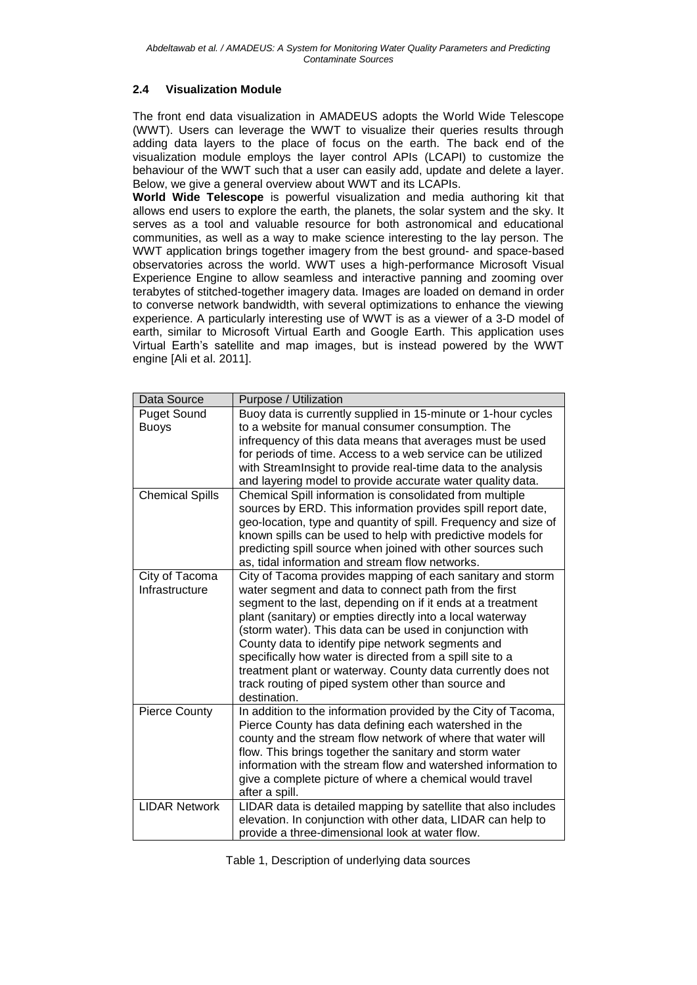## **2.4 Visualization Module**

The front end data visualization in AMADEUS adopts the World Wide Telescope (WWT). Users can leverage the WWT to visualize their queries results through adding data layers to the place of focus on the earth. The back end of the visualization module employs the layer control APIs (LCAPI) to customize the behaviour of the WWT such that a user can easily add, update and delete a layer. Below, we give a general overview about WWT and its LCAPIs.

**World Wide Telescope** is powerful visualization and media authoring kit that allows end users to explore the earth, the planets, the solar system and the sky. It serves as a tool and valuable resource for both astronomical and educational communities, as well as a way to make science interesting to the lay person. The WWT application brings together imagery from the best ground- and space-based observatories across the world. WWT uses a high-performance Microsoft Visual Experience Engine to allow seamless and interactive panning and zooming over terabytes of stitched-together imagery data. Images are loaded on demand in order to converse network bandwidth, with several optimizations to enhance the viewing experience. A particularly interesting use of WWT is as a viewer of a 3-D model of earth, similar to Microsoft Virtual Earth and Google Earth. This application uses Virtual Earth's satellite and map images, but is instead powered by the WWT engine [Ali et al. 2011].

| <b>Puget Sound</b><br>Buoy data is currently supplied in 15-minute or 1-hour cycles<br>to a website for manual consumer consumption. The<br><b>Buoys</b><br>infrequency of this data means that averages must be used<br>for periods of time. Access to a web service can be utilized<br>with StreamInsight to provide real-time data to the analysis<br>and layering model to provide accurate water quality data.<br><b>Chemical Spills</b><br>Chemical Spill information is consolidated from multiple<br>sources by ERD. This information provides spill report date,<br>geo-location, type and quantity of spill. Frequency and size of<br>known spills can be used to help with predictive models for<br>predicting spill source when joined with other sources such<br>as, tidal information and stream flow networks.<br>City of Tacoma provides mapping of each sanitary and storm<br>City of Tacoma<br>Infrastructure<br>water segment and data to connect path from the first<br>segment to the last, depending on if it ends at a treatment<br>plant (sanitary) or empties directly into a local waterway<br>(storm water). This data can be used in conjunction with<br>County data to identify pipe network segments and<br>specifically how water is directed from a spill site to a<br>treatment plant or waterway. County data currently does not<br>track routing of piped system other than source and<br>destination.<br>In addition to the information provided by the City of Tacoma,<br><b>Pierce County</b><br>Pierce County has data defining each watershed in the<br>county and the stream flow network of where that water will<br>flow. This brings together the sanitary and storm water<br>information with the stream flow and watershed information to<br>give a complete picture of where a chemical would travel | Data Source | Purpose / Utilization |
|-----------------------------------------------------------------------------------------------------------------------------------------------------------------------------------------------------------------------------------------------------------------------------------------------------------------------------------------------------------------------------------------------------------------------------------------------------------------------------------------------------------------------------------------------------------------------------------------------------------------------------------------------------------------------------------------------------------------------------------------------------------------------------------------------------------------------------------------------------------------------------------------------------------------------------------------------------------------------------------------------------------------------------------------------------------------------------------------------------------------------------------------------------------------------------------------------------------------------------------------------------------------------------------------------------------------------------------------------------------------------------------------------------------------------------------------------------------------------------------------------------------------------------------------------------------------------------------------------------------------------------------------------------------------------------------------------------------------------------------------------------------------------------------------------------------------------------------------------------|-------------|-----------------------|
|                                                                                                                                                                                                                                                                                                                                                                                                                                                                                                                                                                                                                                                                                                                                                                                                                                                                                                                                                                                                                                                                                                                                                                                                                                                                                                                                                                                                                                                                                                                                                                                                                                                                                                                                                                                                                                                     |             |                       |
|                                                                                                                                                                                                                                                                                                                                                                                                                                                                                                                                                                                                                                                                                                                                                                                                                                                                                                                                                                                                                                                                                                                                                                                                                                                                                                                                                                                                                                                                                                                                                                                                                                                                                                                                                                                                                                                     |             |                       |
|                                                                                                                                                                                                                                                                                                                                                                                                                                                                                                                                                                                                                                                                                                                                                                                                                                                                                                                                                                                                                                                                                                                                                                                                                                                                                                                                                                                                                                                                                                                                                                                                                                                                                                                                                                                                                                                     |             |                       |
|                                                                                                                                                                                                                                                                                                                                                                                                                                                                                                                                                                                                                                                                                                                                                                                                                                                                                                                                                                                                                                                                                                                                                                                                                                                                                                                                                                                                                                                                                                                                                                                                                                                                                                                                                                                                                                                     |             |                       |
|                                                                                                                                                                                                                                                                                                                                                                                                                                                                                                                                                                                                                                                                                                                                                                                                                                                                                                                                                                                                                                                                                                                                                                                                                                                                                                                                                                                                                                                                                                                                                                                                                                                                                                                                                                                                                                                     |             |                       |
|                                                                                                                                                                                                                                                                                                                                                                                                                                                                                                                                                                                                                                                                                                                                                                                                                                                                                                                                                                                                                                                                                                                                                                                                                                                                                                                                                                                                                                                                                                                                                                                                                                                                                                                                                                                                                                                     |             |                       |
|                                                                                                                                                                                                                                                                                                                                                                                                                                                                                                                                                                                                                                                                                                                                                                                                                                                                                                                                                                                                                                                                                                                                                                                                                                                                                                                                                                                                                                                                                                                                                                                                                                                                                                                                                                                                                                                     |             |                       |
|                                                                                                                                                                                                                                                                                                                                                                                                                                                                                                                                                                                                                                                                                                                                                                                                                                                                                                                                                                                                                                                                                                                                                                                                                                                                                                                                                                                                                                                                                                                                                                                                                                                                                                                                                                                                                                                     |             |                       |
|                                                                                                                                                                                                                                                                                                                                                                                                                                                                                                                                                                                                                                                                                                                                                                                                                                                                                                                                                                                                                                                                                                                                                                                                                                                                                                                                                                                                                                                                                                                                                                                                                                                                                                                                                                                                                                                     |             |                       |
|                                                                                                                                                                                                                                                                                                                                                                                                                                                                                                                                                                                                                                                                                                                                                                                                                                                                                                                                                                                                                                                                                                                                                                                                                                                                                                                                                                                                                                                                                                                                                                                                                                                                                                                                                                                                                                                     |             |                       |
|                                                                                                                                                                                                                                                                                                                                                                                                                                                                                                                                                                                                                                                                                                                                                                                                                                                                                                                                                                                                                                                                                                                                                                                                                                                                                                                                                                                                                                                                                                                                                                                                                                                                                                                                                                                                                                                     |             |                       |
|                                                                                                                                                                                                                                                                                                                                                                                                                                                                                                                                                                                                                                                                                                                                                                                                                                                                                                                                                                                                                                                                                                                                                                                                                                                                                                                                                                                                                                                                                                                                                                                                                                                                                                                                                                                                                                                     |             |                       |
|                                                                                                                                                                                                                                                                                                                                                                                                                                                                                                                                                                                                                                                                                                                                                                                                                                                                                                                                                                                                                                                                                                                                                                                                                                                                                                                                                                                                                                                                                                                                                                                                                                                                                                                                                                                                                                                     |             |                       |
|                                                                                                                                                                                                                                                                                                                                                                                                                                                                                                                                                                                                                                                                                                                                                                                                                                                                                                                                                                                                                                                                                                                                                                                                                                                                                                                                                                                                                                                                                                                                                                                                                                                                                                                                                                                                                                                     |             |                       |
|                                                                                                                                                                                                                                                                                                                                                                                                                                                                                                                                                                                                                                                                                                                                                                                                                                                                                                                                                                                                                                                                                                                                                                                                                                                                                                                                                                                                                                                                                                                                                                                                                                                                                                                                                                                                                                                     |             |                       |
|                                                                                                                                                                                                                                                                                                                                                                                                                                                                                                                                                                                                                                                                                                                                                                                                                                                                                                                                                                                                                                                                                                                                                                                                                                                                                                                                                                                                                                                                                                                                                                                                                                                                                                                                                                                                                                                     |             |                       |
|                                                                                                                                                                                                                                                                                                                                                                                                                                                                                                                                                                                                                                                                                                                                                                                                                                                                                                                                                                                                                                                                                                                                                                                                                                                                                                                                                                                                                                                                                                                                                                                                                                                                                                                                                                                                                                                     |             |                       |
|                                                                                                                                                                                                                                                                                                                                                                                                                                                                                                                                                                                                                                                                                                                                                                                                                                                                                                                                                                                                                                                                                                                                                                                                                                                                                                                                                                                                                                                                                                                                                                                                                                                                                                                                                                                                                                                     |             |                       |
|                                                                                                                                                                                                                                                                                                                                                                                                                                                                                                                                                                                                                                                                                                                                                                                                                                                                                                                                                                                                                                                                                                                                                                                                                                                                                                                                                                                                                                                                                                                                                                                                                                                                                                                                                                                                                                                     |             |                       |
|                                                                                                                                                                                                                                                                                                                                                                                                                                                                                                                                                                                                                                                                                                                                                                                                                                                                                                                                                                                                                                                                                                                                                                                                                                                                                                                                                                                                                                                                                                                                                                                                                                                                                                                                                                                                                                                     |             |                       |
|                                                                                                                                                                                                                                                                                                                                                                                                                                                                                                                                                                                                                                                                                                                                                                                                                                                                                                                                                                                                                                                                                                                                                                                                                                                                                                                                                                                                                                                                                                                                                                                                                                                                                                                                                                                                                                                     |             |                       |
|                                                                                                                                                                                                                                                                                                                                                                                                                                                                                                                                                                                                                                                                                                                                                                                                                                                                                                                                                                                                                                                                                                                                                                                                                                                                                                                                                                                                                                                                                                                                                                                                                                                                                                                                                                                                                                                     |             |                       |
|                                                                                                                                                                                                                                                                                                                                                                                                                                                                                                                                                                                                                                                                                                                                                                                                                                                                                                                                                                                                                                                                                                                                                                                                                                                                                                                                                                                                                                                                                                                                                                                                                                                                                                                                                                                                                                                     |             |                       |
|                                                                                                                                                                                                                                                                                                                                                                                                                                                                                                                                                                                                                                                                                                                                                                                                                                                                                                                                                                                                                                                                                                                                                                                                                                                                                                                                                                                                                                                                                                                                                                                                                                                                                                                                                                                                                                                     |             |                       |
|                                                                                                                                                                                                                                                                                                                                                                                                                                                                                                                                                                                                                                                                                                                                                                                                                                                                                                                                                                                                                                                                                                                                                                                                                                                                                                                                                                                                                                                                                                                                                                                                                                                                                                                                                                                                                                                     |             |                       |
|                                                                                                                                                                                                                                                                                                                                                                                                                                                                                                                                                                                                                                                                                                                                                                                                                                                                                                                                                                                                                                                                                                                                                                                                                                                                                                                                                                                                                                                                                                                                                                                                                                                                                                                                                                                                                                                     |             | after a spill.        |
| LIDAR data is detailed mapping by satellite that also includes<br><b>LIDAR Network</b><br>elevation. In conjunction with other data, LIDAR can help to                                                                                                                                                                                                                                                                                                                                                                                                                                                                                                                                                                                                                                                                                                                                                                                                                                                                                                                                                                                                                                                                                                                                                                                                                                                                                                                                                                                                                                                                                                                                                                                                                                                                                              |             |                       |
| provide a three-dimensional look at water flow.                                                                                                                                                                                                                                                                                                                                                                                                                                                                                                                                                                                                                                                                                                                                                                                                                                                                                                                                                                                                                                                                                                                                                                                                                                                                                                                                                                                                                                                                                                                                                                                                                                                                                                                                                                                                     |             |                       |

Table 1, Description of underlying data sources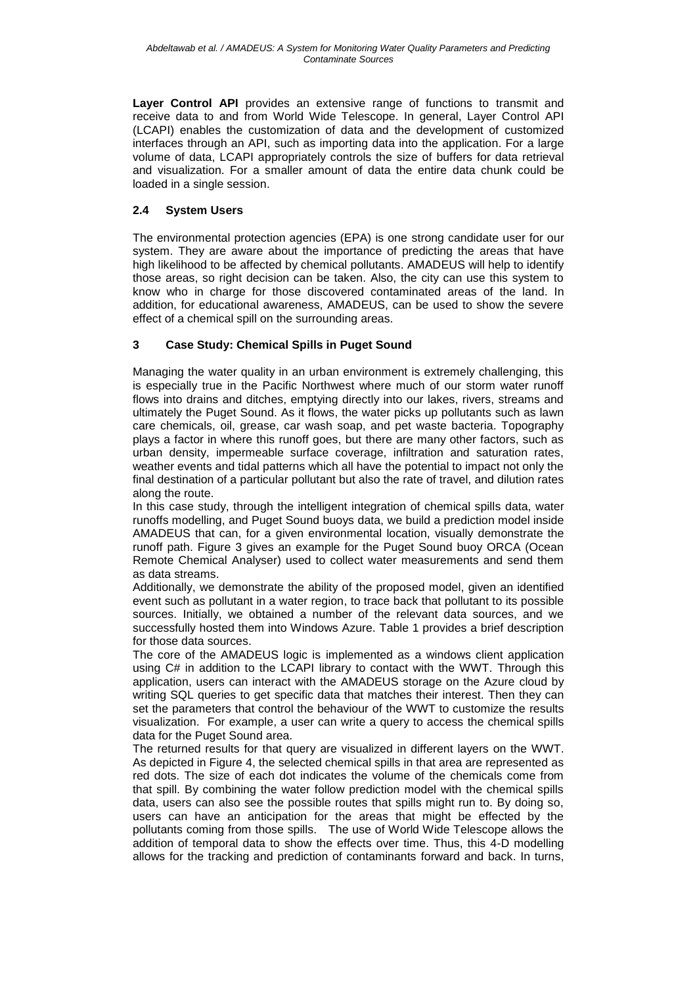Layer Control API provides an extensive range of functions to transmit and receive data to and from World Wide Telescope. In general, Layer Control API (LCAPI) enables the customization of data and the development of customized interfaces through an API, such as importing data into the application. For a large volume of data, LCAPI appropriately controls the size of buffers for data retrieval and visualization. For a smaller amount of data the entire data chunk could be loaded in a single session.

# **2.4 System Users**

The environmental protection agencies (EPA) is one strong candidate user for our system. They are aware about the importance of predicting the areas that have high likelihood to be affected by chemical pollutants. AMADEUS will help to identify those areas, so right decision can be taken. Also, the city can use this system to know who in charge for those discovered contaminated areas of the land. In addition, for educational awareness, AMADEUS, can be used to show the severe effect of a chemical spill on the surrounding areas.

## **3 Case Study: Chemical Spills in Puget Sound**

Managing the water quality in an urban environment is extremely challenging, this is especially true in the Pacific Northwest where much of our storm water runoff flows into drains and ditches, emptying directly into our lakes, rivers, streams and ultimately the Puget Sound. As it flows, the water picks up pollutants such as lawn care chemicals, oil, grease, car wash soap, and pet waste bacteria. Topography plays a factor in where this runoff goes, but there are many other factors, such as urban density, impermeable surface coverage, infiltration and saturation rates, weather events and tidal patterns which all have the potential to impact not only the final destination of a particular pollutant but also the rate of travel, and dilution rates along the route.

In this case study, through the intelligent integration of chemical spills data, water runoffs modelling, and Puget Sound buoys data, we build a prediction model inside AMADEUS that can, for a given environmental location, visually demonstrate the runoff path. Figure 3 gives an example for the Puget Sound buoy ORCA (Ocean Remote Chemical Analyser) used to collect water measurements and send them as data streams.

Additionally, we demonstrate the ability of the proposed model, given an identified event such as pollutant in a water region, to trace back that pollutant to its possible sources. Initially, we obtained a number of the relevant data sources, and we successfully hosted them into Windows Azure. Table 1 provides a brief description for those data sources.

The core of the AMADEUS logic is implemented as a windows client application using C# in addition to the LCAPI library to contact with the WWT. Through this application, users can interact with the AMADEUS storage on the Azure cloud by writing SQL queries to get specific data that matches their interest. Then they can set the parameters that control the behaviour of the WWT to customize the results visualization. For example, a user can write a query to access the chemical spills data for the Puget Sound area.

The returned results for that query are visualized in different layers on the WWT. As depicted in Figure 4, the selected chemical spills in that area are represented as red dots. The size of each dot indicates the volume of the chemicals come from that spill. By combining the water follow prediction model with the chemical spills data, users can also see the possible routes that spills might run to. By doing so, users can have an anticipation for the areas that might be effected by the pollutants coming from those spills. The use of World Wide Telescope allows the addition of temporal data to show the effects over time. Thus, this 4-D modelling allows for the tracking and prediction of contaminants forward and back. In turns,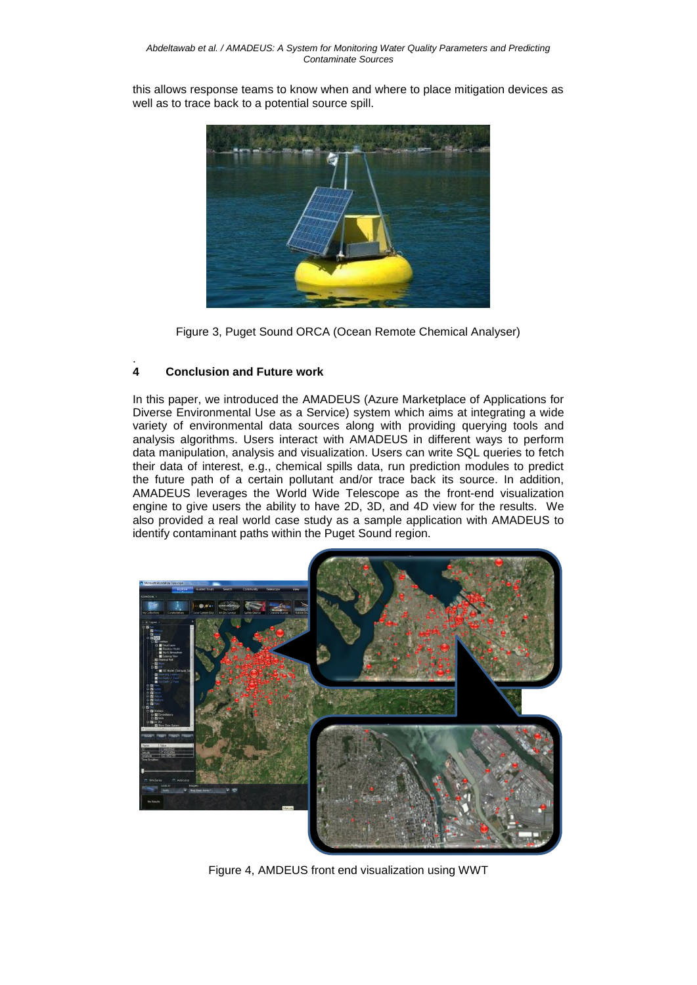this allows response teams to know when and where to place mitigation devices as well as to trace back to a potential source spill.



Figure 3, Puget Sound ORCA (Ocean Remote Chemical Analyser)

#### . **4 Conclusion and Future work**

In this paper, we introduced the AMADEUS (Azure Marketplace of Applications for Diverse Environmental Use as a Service) system which aims at integrating a wide variety of environmental data sources along with providing querying tools and analysis algorithms. Users interact with AMADEUS in different ways to perform data manipulation, analysis and visualization. Users can write SQL queries to fetch their data of interest, e.g., chemical spills data, run prediction modules to predict the future path of a certain pollutant and/or trace back its source. In addition, AMADEUS leverages the World Wide Telescope as the front-end visualization engine to give users the ability to have 2D, 3D, and 4D view for the results. We also provided a real world case study as a sample application with AMADEUS to identify contaminant paths within the Puget Sound region.



Figure 4, AMDEUS front end visualization using WWT